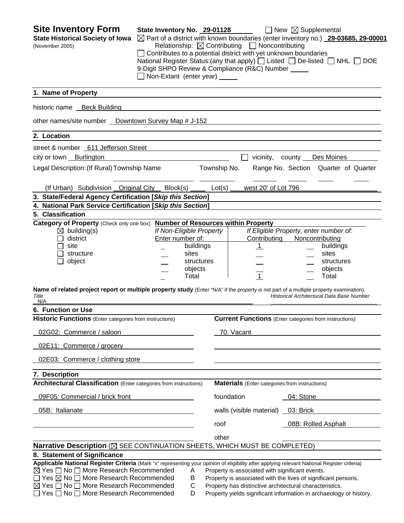| <b>Site Inventory Form</b><br><b>State Historical Society of Iowa</b><br>(November 2005)                                                                                                                                                                                                                                                                                                        | State Inventory No. 29-01128<br>Contributes to a potential district with yet unknown boundaries<br>9-Digit SHPO Review & Compliance (R&C) Number<br>Non-Extant (enter year) |                                                      |              | Relationship: $\boxtimes$ Contributing $\Box$ Noncontributing                                              | $\Box$ New $\boxtimes$ Supplemental | $\boxtimes$ Part of a district with known boundaries (enter inventory no.) 29-03685, 29-00001<br>National Register Status: (any that apply) $\Box$ Listed $\Box$ De-listed $\Box$ NHL $\Box$ DOE |
|-------------------------------------------------------------------------------------------------------------------------------------------------------------------------------------------------------------------------------------------------------------------------------------------------------------------------------------------------------------------------------------------------|-----------------------------------------------------------------------------------------------------------------------------------------------------------------------------|------------------------------------------------------|--------------|------------------------------------------------------------------------------------------------------------|-------------------------------------|--------------------------------------------------------------------------------------------------------------------------------------------------------------------------------------------------|
| 1. Name of Property                                                                                                                                                                                                                                                                                                                                                                             |                                                                                                                                                                             |                                                      |              |                                                                                                            |                                     |                                                                                                                                                                                                  |
| historic name __ Beck Building                                                                                                                                                                                                                                                                                                                                                                  |                                                                                                                                                                             |                                                      |              |                                                                                                            |                                     |                                                                                                                                                                                                  |
| other names/site number _ Downtown Survey Map # J-152                                                                                                                                                                                                                                                                                                                                           |                                                                                                                                                                             |                                                      |              |                                                                                                            |                                     |                                                                                                                                                                                                  |
| 2. Location                                                                                                                                                                                                                                                                                                                                                                                     |                                                                                                                                                                             |                                                      |              |                                                                                                            |                                     |                                                                                                                                                                                                  |
| street & number 611 Jefferson Street                                                                                                                                                                                                                                                                                                                                                            |                                                                                                                                                                             |                                                      |              |                                                                                                            |                                     |                                                                                                                                                                                                  |
| city or town Burlington                                                                                                                                                                                                                                                                                                                                                                         |                                                                                                                                                                             |                                                      |              | vicinity,                                                                                                  | county                              | Des Moines                                                                                                                                                                                       |
| Legal Description: (If Rural) Township Name                                                                                                                                                                                                                                                                                                                                                     |                                                                                                                                                                             |                                                      | Township No. |                                                                                                            |                                     | Range No. Section Quarter of Quarter                                                                                                                                                             |
| (If Urban) Subdivision Original City                                                                                                                                                                                                                                                                                                                                                            | Block(s)                                                                                                                                                                    |                                                      | Lot(s)       | west 20' of Lot 796                                                                                        |                                     |                                                                                                                                                                                                  |
| 3. State/Federal Agency Certification [Skip this Section]                                                                                                                                                                                                                                                                                                                                       |                                                                                                                                                                             |                                                      |              |                                                                                                            |                                     |                                                                                                                                                                                                  |
| 4. National Park Service Certification [Skip this Section]                                                                                                                                                                                                                                                                                                                                      |                                                                                                                                                                             |                                                      |              |                                                                                                            |                                     |                                                                                                                                                                                                  |
| 5. Classification<br>Category of Property (Check only one box) Number of Resources within Property                                                                                                                                                                                                                                                                                              |                                                                                                                                                                             |                                                      |              |                                                                                                            |                                     |                                                                                                                                                                                                  |
| $\boxtimes$ building(s)<br>district<br>site<br>structure<br>object                                                                                                                                                                                                                                                                                                                              | If Non-Eligible Property<br>Enter number of:                                                                                                                                | buildings<br>sites<br>structures<br>objects<br>Total |              | Contributing<br><u>1</u><br>$\overline{1}$                                                                 | Noncontributing                     | If Eligible Property, enter number of:<br>buildings<br>sites<br>structures<br>objects<br>Total                                                                                                   |
| Name of related project report or multiple property study (Enter "N/A" if the property is not part of a multiple property examination).<br>Title<br>N/A                                                                                                                                                                                                                                         |                                                                                                                                                                             |                                                      |              |                                                                                                            |                                     | Historical Architectural Data Base Number                                                                                                                                                        |
| 6. Function or Use                                                                                                                                                                                                                                                                                                                                                                              |                                                                                                                                                                             |                                                      |              |                                                                                                            |                                     |                                                                                                                                                                                                  |
| <b>Historic Functions</b> (Enter categories from instructions)                                                                                                                                                                                                                                                                                                                                  |                                                                                                                                                                             |                                                      |              | <b>Current Functions</b> (Enter categories from instructions)                                              |                                     |                                                                                                                                                                                                  |
| 02G02: Commerce / saloon                                                                                                                                                                                                                                                                                                                                                                        |                                                                                                                                                                             |                                                      | 70: Vacant   |                                                                                                            |                                     |                                                                                                                                                                                                  |
| 02E11: Commerce / grocery                                                                                                                                                                                                                                                                                                                                                                       |                                                                                                                                                                             |                                                      |              |                                                                                                            |                                     |                                                                                                                                                                                                  |
| 02E03: Commerce / clothing store                                                                                                                                                                                                                                                                                                                                                                |                                                                                                                                                                             |                                                      |              |                                                                                                            |                                     |                                                                                                                                                                                                  |
| 7. Description                                                                                                                                                                                                                                                                                                                                                                                  |                                                                                                                                                                             |                                                      |              |                                                                                                            |                                     |                                                                                                                                                                                                  |
| <b>Architectural Classification</b> (Enter categories from instructions)                                                                                                                                                                                                                                                                                                                        |                                                                                                                                                                             |                                                      |              | <b>Materials</b> (Enter categories from instructions)                                                      |                                     |                                                                                                                                                                                                  |
| 09F05: Commercial / brick front                                                                                                                                                                                                                                                                                                                                                                 |                                                                                                                                                                             |                                                      | foundation   |                                                                                                            | 04: Stone                           |                                                                                                                                                                                                  |
| 05B: Italianate                                                                                                                                                                                                                                                                                                                                                                                 |                                                                                                                                                                             |                                                      |              | walls (visible material)                                                                                   | 03: Brick                           |                                                                                                                                                                                                  |
|                                                                                                                                                                                                                                                                                                                                                                                                 |                                                                                                                                                                             |                                                      | roof         |                                                                                                            |                                     | 08B: Rolled Asphalt                                                                                                                                                                              |
|                                                                                                                                                                                                                                                                                                                                                                                                 |                                                                                                                                                                             |                                                      | other        |                                                                                                            |                                     |                                                                                                                                                                                                  |
| Narrative Description (X SEE CONTINUATION SHEETS, WHICH MUST BE COMPLETED)                                                                                                                                                                                                                                                                                                                      |                                                                                                                                                                             |                                                      |              |                                                                                                            |                                     |                                                                                                                                                                                                  |
| 8. Statement of Significance                                                                                                                                                                                                                                                                                                                                                                    |                                                                                                                                                                             |                                                      |              |                                                                                                            |                                     |                                                                                                                                                                                                  |
| Applicable National Register Criteria (Mark "x" representing your opinion of eligibility after applying relevant National Register criteria)<br>$\boxtimes$ Yes $\Box$ No $\Box$ More Research Recommended<br>$\Box$ Yes $\boxtimes$ No $\Box$ More Research Recommended<br>$\boxtimes$ Yes $\Box$ No $\Box$ More Research Recommended<br>$\Box$ Yes $\Box$ No $\Box$ More Research Recommended |                                                                                                                                                                             | A<br>B<br>C<br>D                                     |              | Property is associated with significant events.<br>Property has distinctive architectural characteristics. |                                     | Property is associated with the lives of significant persons.<br>Property yields significant information in archaeology or history.                                                              |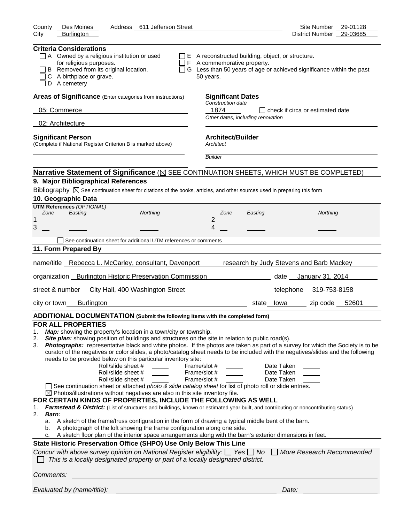| County<br>Des Moines<br>Address 611 Jefferson Street                                                                                                                                                                                                                                                                                                                                                                                                                                                                                                                                                                                                                                                                                                                                                                                                                                                                                                                                                                                                                                                                                                                                                                                | Site Number 29-01128                                                                                                                                                                                                                                                                                                                                                                                                                                                                                                             |
|-------------------------------------------------------------------------------------------------------------------------------------------------------------------------------------------------------------------------------------------------------------------------------------------------------------------------------------------------------------------------------------------------------------------------------------------------------------------------------------------------------------------------------------------------------------------------------------------------------------------------------------------------------------------------------------------------------------------------------------------------------------------------------------------------------------------------------------------------------------------------------------------------------------------------------------------------------------------------------------------------------------------------------------------------------------------------------------------------------------------------------------------------------------------------------------------------------------------------------------|----------------------------------------------------------------------------------------------------------------------------------------------------------------------------------------------------------------------------------------------------------------------------------------------------------------------------------------------------------------------------------------------------------------------------------------------------------------------------------------------------------------------------------|
| City<br><b>Burlington</b>                                                                                                                                                                                                                                                                                                                                                                                                                                                                                                                                                                                                                                                                                                                                                                                                                                                                                                                                                                                                                                                                                                                                                                                                           | District Number 29-03685                                                                                                                                                                                                                                                                                                                                                                                                                                                                                                         |
| <b>Criteria Considerations</b><br>$\Box$ A Owned by a religious institution or used<br>for religious purposes.<br>B Removed from its original location.<br>C A birthplace or grave.<br>D A cemetery                                                                                                                                                                                                                                                                                                                                                                                                                                                                                                                                                                                                                                                                                                                                                                                                                                                                                                                                                                                                                                 | $\Box$ E A reconstructed building, object, or structure.<br>F A commemorative property.<br>□ G Less than 50 years of age or achieved significance within the past<br>50 years.                                                                                                                                                                                                                                                                                                                                                   |
| Areas of Significance (Enter categories from instructions)                                                                                                                                                                                                                                                                                                                                                                                                                                                                                                                                                                                                                                                                                                                                                                                                                                                                                                                                                                                                                                                                                                                                                                          | <b>Significant Dates</b>                                                                                                                                                                                                                                                                                                                                                                                                                                                                                                         |
| 05: Commerce                                                                                                                                                                                                                                                                                                                                                                                                                                                                                                                                                                                                                                                                                                                                                                                                                                                                                                                                                                                                                                                                                                                                                                                                                        | Construction date<br>1874<br>l I check if circa or estimated date                                                                                                                                                                                                                                                                                                                                                                                                                                                                |
| 02: Architecture                                                                                                                                                                                                                                                                                                                                                                                                                                                                                                                                                                                                                                                                                                                                                                                                                                                                                                                                                                                                                                                                                                                                                                                                                    | Other dates, including renovation                                                                                                                                                                                                                                                                                                                                                                                                                                                                                                |
|                                                                                                                                                                                                                                                                                                                                                                                                                                                                                                                                                                                                                                                                                                                                                                                                                                                                                                                                                                                                                                                                                                                                                                                                                                     |                                                                                                                                                                                                                                                                                                                                                                                                                                                                                                                                  |
| <b>Significant Person</b><br>(Complete if National Register Criterion B is marked above)                                                                                                                                                                                                                                                                                                                                                                                                                                                                                                                                                                                                                                                                                                                                                                                                                                                                                                                                                                                                                                                                                                                                            | <b>Architect/Builder</b><br>Architect                                                                                                                                                                                                                                                                                                                                                                                                                                                                                            |
|                                                                                                                                                                                                                                                                                                                                                                                                                                                                                                                                                                                                                                                                                                                                                                                                                                                                                                                                                                                                                                                                                                                                                                                                                                     | <b>Builder</b>                                                                                                                                                                                                                                                                                                                                                                                                                                                                                                                   |
|                                                                                                                                                                                                                                                                                                                                                                                                                                                                                                                                                                                                                                                                                                                                                                                                                                                                                                                                                                                                                                                                                                                                                                                                                                     | Narrative Statement of Significance ( $\boxtimes$ SEE CONTINUATION SHEETS, WHICH MUST BE COMPLETED)                                                                                                                                                                                                                                                                                                                                                                                                                              |
| 9. Major Bibliographical References                                                                                                                                                                                                                                                                                                                                                                                                                                                                                                                                                                                                                                                                                                                                                                                                                                                                                                                                                                                                                                                                                                                                                                                                 |                                                                                                                                                                                                                                                                                                                                                                                                                                                                                                                                  |
| Bibliography $\boxtimes$ See continuation sheet for citations of the books, articles, and other sources used in preparing this form                                                                                                                                                                                                                                                                                                                                                                                                                                                                                                                                                                                                                                                                                                                                                                                                                                                                                                                                                                                                                                                                                                 |                                                                                                                                                                                                                                                                                                                                                                                                                                                                                                                                  |
| 10. Geographic Data                                                                                                                                                                                                                                                                                                                                                                                                                                                                                                                                                                                                                                                                                                                                                                                                                                                                                                                                                                                                                                                                                                                                                                                                                 |                                                                                                                                                                                                                                                                                                                                                                                                                                                                                                                                  |
| <b>UTM References (OPTIONAL)</b><br>Zone<br>Easting<br>Northing                                                                                                                                                                                                                                                                                                                                                                                                                                                                                                                                                                                                                                                                                                                                                                                                                                                                                                                                                                                                                                                                                                                                                                     | Northing<br>Zone<br>Easting                                                                                                                                                                                                                                                                                                                                                                                                                                                                                                      |
| 1                                                                                                                                                                                                                                                                                                                                                                                                                                                                                                                                                                                                                                                                                                                                                                                                                                                                                                                                                                                                                                                                                                                                                                                                                                   | 2                                                                                                                                                                                                                                                                                                                                                                                                                                                                                                                                |
| 3                                                                                                                                                                                                                                                                                                                                                                                                                                                                                                                                                                                                                                                                                                                                                                                                                                                                                                                                                                                                                                                                                                                                                                                                                                   | 4                                                                                                                                                                                                                                                                                                                                                                                                                                                                                                                                |
| See continuation sheet for additional UTM references or comments                                                                                                                                                                                                                                                                                                                                                                                                                                                                                                                                                                                                                                                                                                                                                                                                                                                                                                                                                                                                                                                                                                                                                                    |                                                                                                                                                                                                                                                                                                                                                                                                                                                                                                                                  |
| 11. Form Prepared By                                                                                                                                                                                                                                                                                                                                                                                                                                                                                                                                                                                                                                                                                                                                                                                                                                                                                                                                                                                                                                                                                                                                                                                                                |                                                                                                                                                                                                                                                                                                                                                                                                                                                                                                                                  |
| name/title Rebecca L. McCarley, consultant, Davenport                                                                                                                                                                                                                                                                                                                                                                                                                                                                                                                                                                                                                                                                                                                                                                                                                                                                                                                                                                                                                                                                                                                                                                               | research by Judy Stevens and Barb Mackey                                                                                                                                                                                                                                                                                                                                                                                                                                                                                         |
| organization _ Burlington Historic Preservation Commission                                                                                                                                                                                                                                                                                                                                                                                                                                                                                                                                                                                                                                                                                                                                                                                                                                                                                                                                                                                                                                                                                                                                                                          | date January 31, 2014                                                                                                                                                                                                                                                                                                                                                                                                                                                                                                            |
| street & number<br>City Hall, 400 Washington Street                                                                                                                                                                                                                                                                                                                                                                                                                                                                                                                                                                                                                                                                                                                                                                                                                                                                                                                                                                                                                                                                                                                                                                                 | telephone 319-753-8158                                                                                                                                                                                                                                                                                                                                                                                                                                                                                                           |
| <b>Burlington</b><br>city or town                                                                                                                                                                                                                                                                                                                                                                                                                                                                                                                                                                                                                                                                                                                                                                                                                                                                                                                                                                                                                                                                                                                                                                                                   | zip code 52601<br>state lowa                                                                                                                                                                                                                                                                                                                                                                                                                                                                                                     |
| ADDITIONAL DOCUMENTATION (Submit the following items with the completed form)                                                                                                                                                                                                                                                                                                                                                                                                                                                                                                                                                                                                                                                                                                                                                                                                                                                                                                                                                                                                                                                                                                                                                       |                                                                                                                                                                                                                                                                                                                                                                                                                                                                                                                                  |
| <b>FOR ALL PROPERTIES</b><br>Map: showing the property's location in a town/city or township.<br>1.<br>Site plan: showing position of buildings and structures on the site in relation to public road(s).<br>2.<br>3.<br>needs to be provided below on this particular inventory site:<br>Roll/slide sheet #<br>Roll/slide sheet #<br>Roll/slide sheet #<br>See continuation sheet or attached photo & slide catalog sheet for list of photo roll or slide entries.<br>$\boxtimes$ Photos/illustrations without negatives are also in this site inventory file.<br>FOR CERTAIN KINDS OF PROPERTIES, INCLUDE THE FOLLOWING AS WELL<br>1.<br>2.<br><b>Barn:</b><br>A sketch of the frame/truss configuration in the form of drawing a typical middle bent of the barn.<br>а.<br>A photograph of the loft showing the frame configuration along one side.<br>b.<br>A sketch floor plan of the interior space arrangements along with the barn's exterior dimensions in feet.<br>c.<br>State Historic Preservation Office (SHPO) Use Only Below This Line<br>Concur with above survey opinion on National Register eligibility: $\Box$ Yes $\Box$ No<br>This is a locally designated property or part of a locally designated district. | Photographs: representative black and white photos. If the photos are taken as part of a survey for which the Society is to be<br>curator of the negatives or color slides, a photo/catalog sheet needs to be included with the negatives/slides and the following<br>Frame/slot #<br>Date Taken<br>Frame/slot #<br>Date Taken<br>Frame/slot #<br>Date Taken<br>Farmstead & District: (List of structures and buildings, known or estimated year built, and contributing or noncontributing status)<br>More Research Recommended |
| Comments:                                                                                                                                                                                                                                                                                                                                                                                                                                                                                                                                                                                                                                                                                                                                                                                                                                                                                                                                                                                                                                                                                                                                                                                                                           |                                                                                                                                                                                                                                                                                                                                                                                                                                                                                                                                  |
| Evaluated by (name/title):                                                                                                                                                                                                                                                                                                                                                                                                                                                                                                                                                                                                                                                                                                                                                                                                                                                                                                                                                                                                                                                                                                                                                                                                          | Date:                                                                                                                                                                                                                                                                                                                                                                                                                                                                                                                            |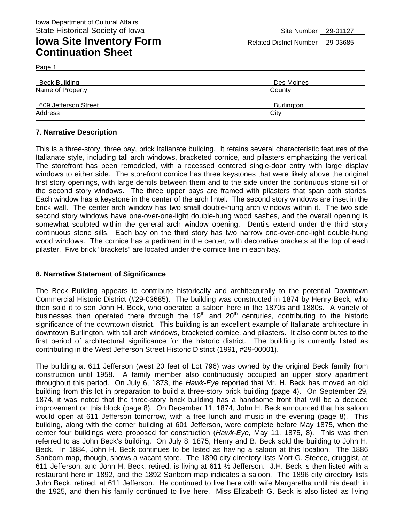Page 1

| Beck Building        | Des Moines        |
|----------------------|-------------------|
| Name of Property     | County            |
| 609 Jefferson Street | <b>Burlington</b> |
| Address              | City              |

#### **7. Narrative Description**

This is a three-story, three bay, brick Italianate building. It retains several characteristic features of the Italianate style, including tall arch windows, bracketed cornice, and pilasters emphasizing the vertical. The storefront has been remodeled, with a recessed centered single-door entry with large display windows to either side. The storefront cornice has three keystones that were likely above the original first story openings, with large dentils between them and to the side under the continuous stone sill of the second story windows. The three upper bays are framed with pilasters that span both stories. Each window has a keystone in the center of the arch lintel. The second story windows are inset in the brick wall. The center arch window has two small double-hung arch windows within it. The two side second story windows have one-over-one-light double-hung wood sashes, and the overall opening is somewhat sculpted within the general arch window opening. Dentils extend under the third story continuous stone sills. Each bay on the third story has two narrow one-over-one-light double-hung wood windows. The cornice has a pediment in the center, with decorative brackets at the top of each pilaster. Five brick "brackets" are located under the cornice line in each bay.

#### **8. Narrative Statement of Significance**

The Beck Building appears to contribute historically and architecturally to the potential Downtown Commercial Historic District (#29-03685). The building was constructed in 1874 by Henry Beck, who then sold it to son John H. Beck, who operated a saloon here in the 1870s and 1880s. A variety of businesses then operated there through the  $19<sup>th</sup>$  and  $20<sup>th</sup>$  centuries, contributing to the historic significance of the downtown district. This building is an excellent example of Italianate architecture in downtown Burlington, with tall arch windows, bracketed cornice, and pilasters. It also contributes to the first period of architectural significance for the historic district. The building is currently listed as contributing in the West Jefferson Street Historic District (1991, #29-00001).

The building at 611 Jefferson (west 20 feet of Lot 796) was owned by the original Beck family from construction until 1958. A family member also continuously occupied an upper story apartment throughout this period. On July 6, 1873, the *Hawk-Eye* reported that Mr. H. Beck has moved an old building from this lot in preparation to build a three-story brick building (page 4). On September 29, 1874, it was noted that the three-story brick building has a handsome front that will be a decided improvement on this block (page 8). On December 11, 1874, John H. Beck announced that his saloon would open at 611 Jefferson tomorrow, with a free lunch and music in the evening (page 8). This building, along with the corner building at 601 Jefferson, were complete before May 1875, when the center four buildings were proposed for construction (*Hawk-Eye,* May 11, 1875, 8). This was then referred to as John Beck's building. On July 8, 1875, Henry and B. Beck sold the building to John H. Beck. In 1884, John H. Beck continues to be listed as having a saloon at this location. The 1886 Sanborn map, though, shows a vacant store. The 1890 city directory lists Mort G. Steece, druggist, at 611 Jefferson, and John H. Beck, retired, is living at 611 ½ Jefferson. J.H. Beck is then listed with a restaurant here in 1892, and the 1892 Sanborn map indicates a saloon. The 1896 city directory lists John Beck, retired, at 611 Jefferson. He continued to live here with wife Margaretha until his death in the 1925, and then his family continued to live here. Miss Elizabeth G. Beck is also listed as living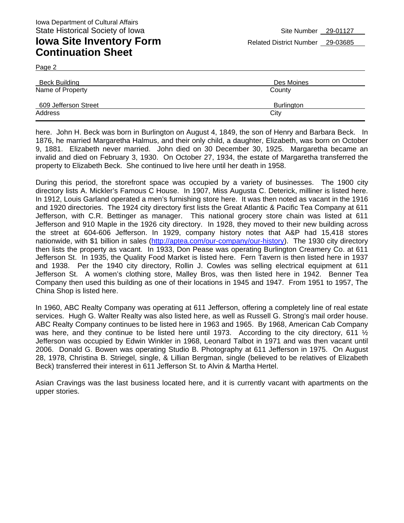Page 2

| Beck Building        | Des Moines        |
|----------------------|-------------------|
| Name of Property     | County            |
| 609 Jefferson Street | <b>Burlington</b> |
| Address              | City              |

here. John H. Beck was born in Burlington on August 4, 1849, the son of Henry and Barbara Beck. In 1876, he married Margaretha Halmus, and their only child, a daughter, Elizabeth, was born on October 9, 1881. Elizabeth never married. John died on 30 December 30, 1925. Margaretha became an invalid and died on February 3, 1930. On October 27, 1934, the estate of Margaretha transferred the property to Elizabeth Beck. She continued to live here until her death in 1958.

During this period, the storefront space was occupied by a variety of businesses. The 1900 city directory lists A. Mickler's Famous C House. In 1907, Miss Augusta C. Deterick, milliner is listed here. In 1912, Louis Garland operated a men's furnishing store here. It was then noted as vacant in the 1916 and 1920 directories. The 1924 city directory first lists the Great Atlantic & Pacific Tea Company at 611 Jefferson, with C.R. Bettinger as manager. This national grocery store chain was listed at 611 Jefferson and 910 Maple in the 1926 city directory. In 1928, they moved to their new building across the street at 604-606 Jefferson. In 1929, company history notes that A&P had 15,418 stores nationwide, with \$1 billion in sales (http://aptea.com/our-company/our-history). The 1930 city directory then lists the property as vacant. In 1933, Don Pease was operating Burlington Creamery Co. at 611 Jefferson St. In 1935, the Quality Food Market is listed here. Fern Tavern is then listed here in 1937 and 1938. Per the 1940 city directory, Rollin J. Cowles was selling electrical equipment at 611 Jefferson St. A women's clothing store, Malley Bros, was then listed here in 1942. Benner Tea Company then used this building as one of their locations in 1945 and 1947. From 1951 to 1957, The China Shop is listed here.

In 1960, ABC Realty Company was operating at 611 Jefferson, offering a completely line of real estate services. Hugh G. Walter Realty was also listed here, as well as Russell G. Strong's mail order house. ABC Realty Company continues to be listed here in 1963 and 1965. By 1968, American Cab Company was here, and they continue to be listed here until 1973. According to the city directory, 611  $\frac{1}{2}$ Jefferson was occupied by Edwin Winkler in 1968, Leonard Talbot in 1971 and was then vacant until 2006. Donald G. Bowen was operating Studio B. Photography at 611 Jefferson in 1975. On August 28, 1978, Christina B. Striegel, single, & Lillian Bergman, single (believed to be relatives of Elizabeth Beck) transferred their interest in 611 Jefferson St. to Alvin & Martha Hertel.

Asian Cravings was the last business located here, and it is currently vacant with apartments on the upper stories.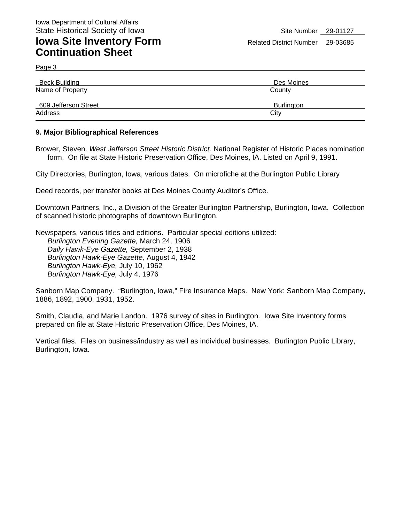Page 3

| Beck Building        | Des Moines        |
|----------------------|-------------------|
| Name of Property     | County            |
| 609 Jefferson Street | <b>Burlington</b> |
| Address              | City              |

#### **9. Major Bibliographical References**

Brower, Steven. *West Jefferson Street Historic District.* National Register of Historic Places nomination form. On file at State Historic Preservation Office, Des Moines, IA. Listed on April 9, 1991.

City Directories, Burlington, Iowa, various dates. On microfiche at the Burlington Public Library

Deed records, per transfer books at Des Moines County Auditor's Office.

Downtown Partners, Inc., a Division of the Greater Burlington Partnership, Burlington, Iowa. Collection of scanned historic photographs of downtown Burlington.

Newspapers, various titles and editions. Particular special editions utilized: *Burlington Evening Gazette,* March 24, 1906 *Daily Hawk-Eye Gazette,* September 2, 1938 *Burlington Hawk-Eye Gazette,* August 4, 1942 *Burlington Hawk-Eye,* July 10, 1962 *Burlington Hawk-Eye,* July 4, 1976

Sanborn Map Company. "Burlington, Iowa," Fire Insurance Maps. New York: Sanborn Map Company, 1886, 1892, 1900, 1931, 1952.

Smith, Claudia, and Marie Landon. 1976 survey of sites in Burlington. Iowa Site Inventory forms prepared on file at State Historic Preservation Office, Des Moines, IA.

Vertical files. Files on business/industry as well as individual businesses. Burlington Public Library, Burlington, Iowa.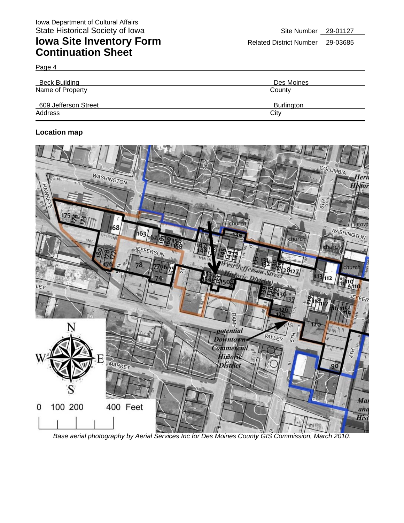Page 4

| <b>Beck Building</b> | Des Moines        |
|----------------------|-------------------|
| Name of Property     | County            |
| 609 Jefferson Street | <b>Burlington</b> |
| Address              | City              |

#### **Location map**



**Base aerial photography by Aerial Services Inc for Des Moines County GIS Commission, March 2010.**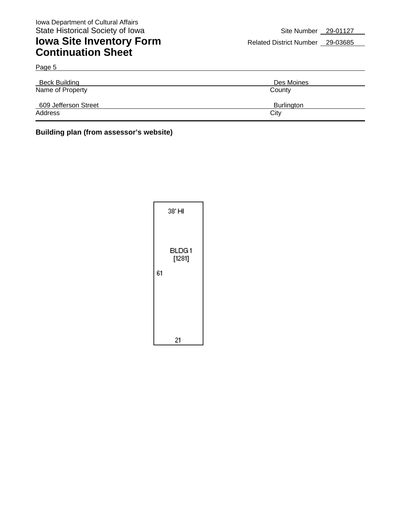| <b>Beck Building</b> | Des Moines        |
|----------------------|-------------------|
| Name of Property     | County            |
| 609 Jefferson Street | <b>Burlington</b> |
| Address              | City              |

### **Building plan (from assessor's website)**

|    | 38' HI           |
|----|------------------|
| 61 | BLDG 1<br>[1281] |
|    | 21               |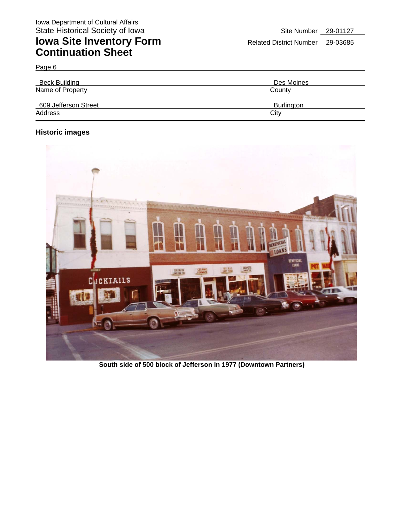| <b>Beck Building</b> | Des Moines        |
|----------------------|-------------------|
| Name of Property     | County            |
| 609 Jefferson Street | <b>Burlington</b> |
| Address              | City              |

### **Historic images**

Page 6



**South side of 500 block of Jefferson in 1977 (Downtown Partners)**